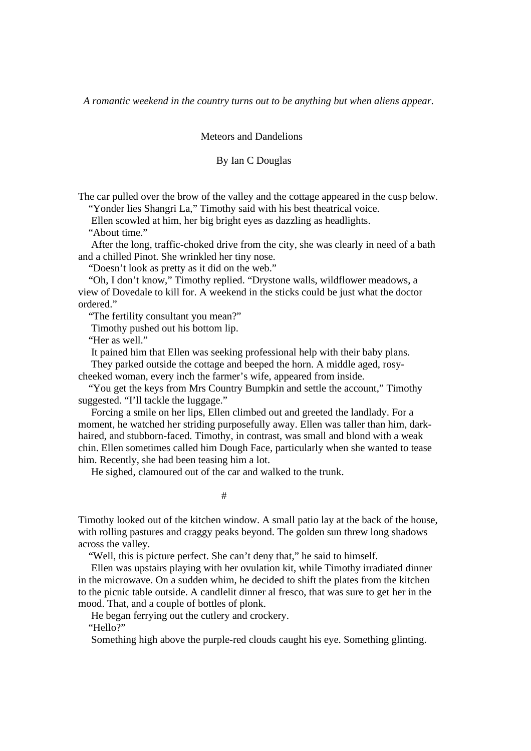*A romantic weekend in the country turns out to be anything but when aliens appear.* 

Meteors and Dandelions

## By Ian C Douglas

The car pulled over the brow of the valley and the cottage appeared in the cusp below. "Yonder lies Shangri La," Timothy said with his best theatrical voice.

Ellen scowled at him, her big bright eyes as dazzling as headlights.

"About time."

 After the long, traffic-choked drive from the city, she was clearly in need of a bath and a chilled Pinot. She wrinkled her tiny nose.

"Doesn't look as pretty as it did on the web."

 "Oh, I don't know," Timothy replied. "Drystone walls, wildflower meadows, a view of Dovedale to kill for. A weekend in the sticks could be just what the doctor ordered."

"The fertility consultant you mean?"

Timothy pushed out his bottom lip.

"Her as well."

It pained him that Ellen was seeking professional help with their baby plans.

They parked outside the cottage and beeped the horn. A middle aged, rosy-

cheeked woman, every inch the farmer's wife, appeared from inside.

 "You get the keys from Mrs Country Bumpkin and settle the account," Timothy suggested. "I'll tackle the luggage."

 Forcing a smile on her lips, Ellen climbed out and greeted the landlady. For a moment, he watched her striding purposefully away. Ellen was taller than him, darkhaired, and stubborn-faced. Timothy, in contrast, was small and blond with a weak chin. Ellen sometimes called him Dough Face, particularly when she wanted to tease him. Recently, she had been teasing him a lot.

He sighed, clamoured out of the car and walked to the trunk.

#

Timothy looked out of the kitchen window. A small patio lay at the back of the house, with rolling pastures and craggy peaks beyond. The golden sun threw long shadows across the valley.

"Well, this is picture perfect. She can't deny that," he said to himself.

 Ellen was upstairs playing with her ovulation kit, while Timothy irradiated dinner in the microwave. On a sudden whim, he decided to shift the plates from the kitchen to the picnic table outside. A candlelit dinner al fresco, that was sure to get her in the mood. That, and a couple of bottles of plonk.

He began ferrying out the cutlery and crockery.

"Hello?"

Something high above the purple-red clouds caught his eye. Something glinting.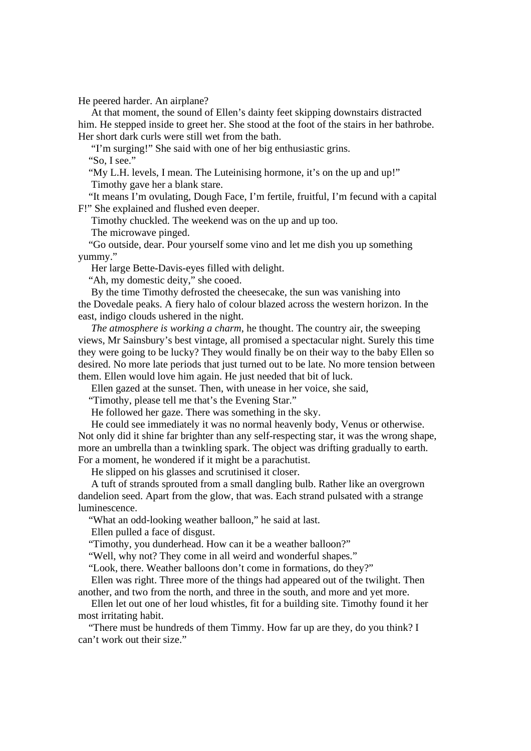He peered harder. An airplane?

 At that moment, the sound of Ellen's dainty feet skipping downstairs distracted him. He stepped inside to greet her. She stood at the foot of the stairs in her bathrobe. Her short dark curls were still wet from the bath.

 "I'm surging!" She said with one of her big enthusiastic grins. "So, I see."

 "My L.H. levels, I mean. The Luteinising hormone, it's on the up and up!" Timothy gave her a blank stare.

 "It means I'm ovulating, Dough Face, I'm fertile, fruitful, I'm fecund with a capital F!" She explained and flushed even deeper.

Timothy chuckled. The weekend was on the up and up too.

The microwave pinged.

 "Go outside, dear. Pour yourself some vino and let me dish you up something yummy."

Her large Bette-Davis-eyes filled with delight.

"Ah, my domestic deity," she cooed.

 By the time Timothy defrosted the cheesecake, the sun was vanishing into the Dovedale peaks. A fiery halo of colour blazed across the western horizon. In the east, indigo clouds ushered in the night.

 *The atmosphere is working a charm*, he thought. The country air, the sweeping views, Mr Sainsbury's best vintage, all promised a spectacular night. Surely this time they were going to be lucky? They would finally be on their way to the baby Ellen so desired. No more late periods that just turned out to be late. No more tension between them. Ellen would love him again. He just needed that bit of luck.

Ellen gazed at the sunset. Then, with unease in her voice, she said,

"Timothy, please tell me that's the Evening Star."

He followed her gaze. There was something in the sky.

 He could see immediately it was no normal heavenly body, Venus or otherwise. Not only did it shine far brighter than any self-respecting star, it was the wrong shape, more an umbrella than a twinkling spark. The object was drifting gradually to earth. For a moment, he wondered if it might be a parachutist.

He slipped on his glasses and scrutinised it closer.

 A tuft of strands sprouted from a small dangling bulb. Rather like an overgrown dandelion seed. Apart from the glow, that was. Each strand pulsated with a strange luminescence.

"What an odd-looking weather balloon," he said at last.

Ellen pulled a face of disgust.

"Timothy, you dunderhead. How can it be a weather balloon?"

"Well, why not? They come in all weird and wonderful shapes."

"Look, there. Weather balloons don't come in formations, do they?"

 Ellen was right. Three more of the things had appeared out of the twilight. Then another, and two from the north, and three in the south, and more and yet more.

 Ellen let out one of her loud whistles, fit for a building site. Timothy found it her most irritating habit.

 "There must be hundreds of them Timmy. How far up are they, do you think? I can't work out their size."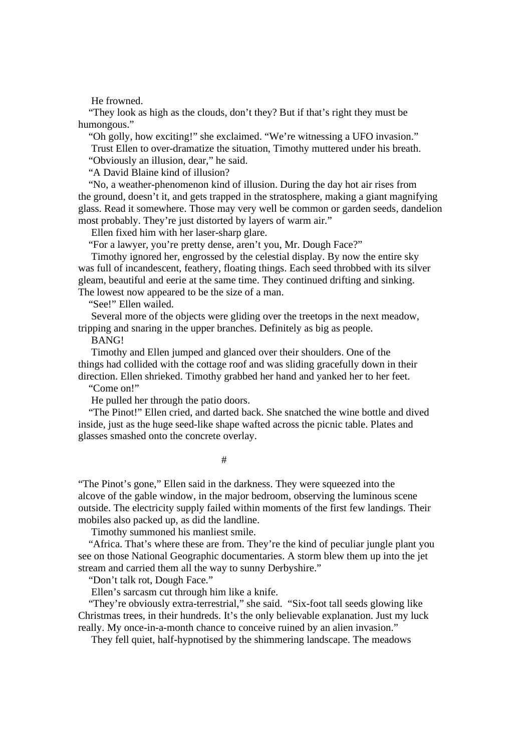He frowned.

 "They look as high as the clouds, don't they? But if that's right they must be humongous."

 "Oh golly, how exciting!" she exclaimed. "We're witnessing a UFO invasion." Trust Ellen to over-dramatize the situation, Timothy muttered under his breath. "Obviously an illusion, dear," he said.

"A David Blaine kind of illusion?

 "No, a weather-phenomenon kind of illusion. During the day hot air rises from the ground, doesn't it, and gets trapped in the stratosphere, making a giant magnifying glass. Read it somewhere. Those may very well be common or garden seeds, dandelion most probably. They're just distorted by layers of warm air."

Ellen fixed him with her laser-sharp glare.

"For a lawyer, you're pretty dense, aren't you, Mr. Dough Face?"

 Timothy ignored her, engrossed by the celestial display. By now the entire sky was full of incandescent, feathery, floating things. Each seed throbbed with its silver gleam, beautiful and eerie at the same time. They continued drifting and sinking. The lowest now appeared to be the size of a man.

"See!" Ellen wailed.

 Several more of the objects were gliding over the treetops in the next meadow, tripping and snaring in the upper branches. Definitely as big as people.

BANG!

 Timothy and Ellen jumped and glanced over their shoulders. One of the things had collided with the cottage roof and was sliding gracefully down in their direction. Ellen shrieked. Timothy grabbed her hand and yanked her to her feet.

"Come on!"

He pulled her through the patio doors.

 "The Pinot!" Ellen cried, and darted back. She snatched the wine bottle and dived inside, just as the huge seed-like shape wafted across the picnic table. Plates and glasses smashed onto the concrete overlay.

#

"The Pinot's gone," Ellen said in the darkness. They were squeezed into the alcove of the gable window, in the major bedroom, observing the luminous scene outside. The electricity supply failed within moments of the first few landings. Their mobiles also packed up, as did the landline.

Timothy summoned his manliest smile.

 "Africa. That's where these are from. They're the kind of peculiar jungle plant you see on those National Geographic documentaries. A storm blew them up into the jet stream and carried them all the way to sunny Derbyshire."

"Don't talk rot, Dough Face."

Ellen's sarcasm cut through him like a knife.

 "They're obviously extra-terrestrial," she said. "Six-foot tall seeds glowing like Christmas trees, in their hundreds. It's the only believable explanation. Just my luck really. My once-in-a-month chance to conceive ruined by an alien invasion."

They fell quiet, half-hypnotised by the shimmering landscape. The meadows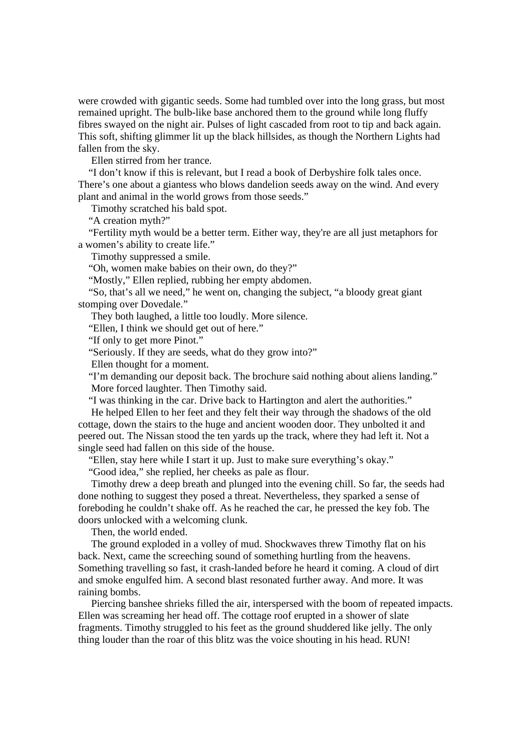were crowded with gigantic seeds. Some had tumbled over into the long grass, but most remained upright. The bulb-like base anchored them to the ground while long fluffy fibres swayed on the night air. Pulses of light cascaded from root to tip and back again. This soft, shifting glimmer lit up the black hillsides, as though the Northern Lights had fallen from the sky.

Ellen stirred from her trance.

 "I don't know if this is relevant, but I read a book of Derbyshire folk tales once. There's one about a giantess who blows dandelion seeds away on the wind. And every plant and animal in the world grows from those seeds."

Timothy scratched his bald spot.

"A creation myth?"

 "Fertility myth would be a better term. Either way, they're are all just metaphors for a women's ability to create life."

Timothy suppressed a smile.

"Oh, women make babies on their own, do they?"

"Mostly," Ellen replied, rubbing her empty abdomen.

 "So, that's all we need," he went on, changing the subject, "a bloody great giant stomping over Dovedale."

They both laughed, a little too loudly. More silence.

"Ellen, I think we should get out of here."

"If only to get more Pinot."

"Seriously. If they are seeds, what do they grow into?"

Ellen thought for a moment.

 "I'm demanding our deposit back. The brochure said nothing about aliens landing." More forced laughter. Then Timothy said.

"I was thinking in the car. Drive back to Hartington and alert the authorities."

 He helped Ellen to her feet and they felt their way through the shadows of the old cottage, down the stairs to the huge and ancient wooden door. They unbolted it and peered out. The Nissan stood the ten yards up the track, where they had left it. Not a single seed had fallen on this side of the house.

"Ellen, stay here while I start it up. Just to make sure everything's okay."

"Good idea," she replied, her cheeks as pale as flour.

 Timothy drew a deep breath and plunged into the evening chill. So far, the seeds had done nothing to suggest they posed a threat. Nevertheless, they sparked a sense of foreboding he couldn't shake off. As he reached the car, he pressed the key fob. The doors unlocked with a welcoming clunk.

Then, the world ended.

 The ground exploded in a volley of mud. Shockwaves threw Timothy flat on his back. Next, came the screeching sound of something hurtling from the heavens. Something travelling so fast, it crash-landed before he heard it coming. A cloud of dirt and smoke engulfed him. A second blast resonated further away. And more. It was raining bombs.

 Piercing banshee shrieks filled the air, interspersed with the boom of repeated impacts. Ellen was screaming her head off. The cottage roof erupted in a shower of slate fragments. Timothy struggled to his feet as the ground shuddered like jelly. The only thing louder than the roar of this blitz was the voice shouting in his head. RUN!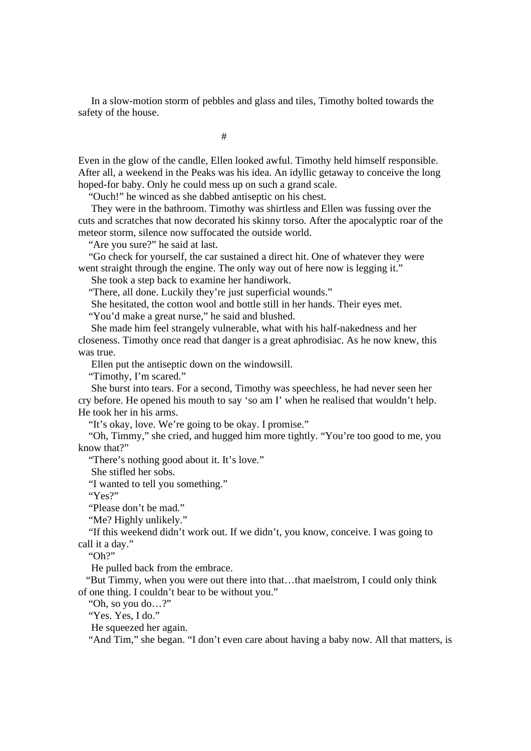In a slow-motion storm of pebbles and glass and tiles, Timothy bolted towards the safety of the house.

#

Even in the glow of the candle, Ellen looked awful. Timothy held himself responsible. After all, a weekend in the Peaks was his idea. An idyllic getaway to conceive the long hoped-for baby. Only he could mess up on such a grand scale.

"Ouch!" he winced as she dabbed antiseptic on his chest.

 They were in the bathroom. Timothy was shirtless and Ellen was fussing over the cuts and scratches that now decorated his skinny torso. After the apocalyptic roar of the meteor storm, silence now suffocated the outside world.

"Are you sure?" he said at last.

 "Go check for yourself, the car sustained a direct hit. One of whatever they were went straight through the engine. The only way out of here now is legging it."

She took a step back to examine her handiwork.

"There, all done. Luckily they're just superficial wounds."

She hesitated, the cotton wool and bottle still in her hands. Their eyes met.

"You'd make a great nurse," he said and blushed.

 She made him feel strangely vulnerable, what with his half-nakedness and her closeness. Timothy once read that danger is a great aphrodisiac. As he now knew, this was true.

Ellen put the antiseptic down on the windowsill.

"Timothy, I'm scared."

 She burst into tears. For a second, Timothy was speechless, he had never seen her cry before. He opened his mouth to say 'so am I' when he realised that wouldn't help. He took her in his arms.

"It's okay, love. We're going to be okay. I promise."

 "Oh, Timmy," she cried, and hugged him more tightly. "You're too good to me, you know that?"

"There's nothing good about it. It's love."

She stifled her sobs.

"I wanted to tell you something."

"Yes?"

"Please don't be mad."

"Me? Highly unlikely."

 "If this weekend didn't work out. If we didn't, you know, conceive. I was going to call it a day."

"Oh?"

He pulled back from the embrace.

 "But Timmy, when you were out there into that…that maelstrom, I could only think of one thing. I couldn't bear to be without you."

"Oh, so you do…?"

"Yes. Yes, I do."

He squeezed her again.

"And Tim," she began. "I don't even care about having a baby now. All that matters, is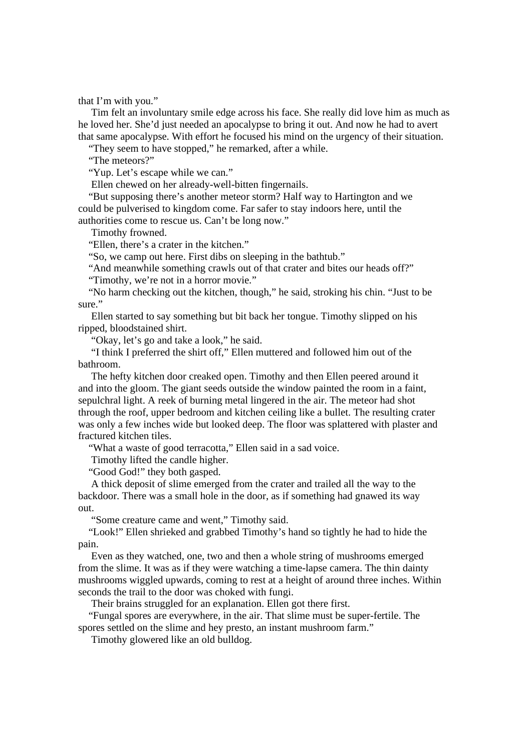that I'm with you."

 Tim felt an involuntary smile edge across his face. She really did love him as much as he loved her. She'd just needed an apocalypse to bring it out. And now he had to avert that same apocalypse. With effort he focused his mind on the urgency of their situation.

"They seem to have stopped," he remarked, after a while.

"The meteors?"

"Yup. Let's escape while we can."

Ellen chewed on her already-well-bitten fingernails.

 "But supposing there's another meteor storm? Half way to Hartington and we could be pulverised to kingdom come. Far safer to stay indoors here, until the authorities come to rescue us. Can't be long now."

Timothy frowned.

"Ellen, there's a crater in the kitchen."

"So, we camp out here. First dibs on sleeping in the bathtub."

"And meanwhile something crawls out of that crater and bites our heads off?"

"Timothy, we're not in a horror movie."

 "No harm checking out the kitchen, though," he said, stroking his chin. "Just to be sure."

 Ellen started to say something but bit back her tongue. Timothy slipped on his ripped, bloodstained shirt.

"Okay, let's go and take a look," he said.

 "I think I preferred the shirt off," Ellen muttered and followed him out of the bathroom.

 The hefty kitchen door creaked open. Timothy and then Ellen peered around it and into the gloom. The giant seeds outside the window painted the room in a faint, sepulchral light. A reek of burning metal lingered in the air. The meteor had shot through the roof, upper bedroom and kitchen ceiling like a bullet. The resulting crater was only a few inches wide but looked deep. The floor was splattered with plaster and fractured kitchen tiles.

"What a waste of good terracotta," Ellen said in a sad voice.

Timothy lifted the candle higher.

"Good God!" they both gasped.

 A thick deposit of slime emerged from the crater and trailed all the way to the backdoor. There was a small hole in the door, as if something had gnawed its way out.

"Some creature came and went," Timothy said.

 "Look!" Ellen shrieked and grabbed Timothy's hand so tightly he had to hide the pain.

 Even as they watched, one, two and then a whole string of mushrooms emerged from the slime. It was as if they were watching a time-lapse camera. The thin dainty mushrooms wiggled upwards, coming to rest at a height of around three inches. Within seconds the trail to the door was choked with fungi.

Their brains struggled for an explanation. Ellen got there first.

 "Fungal spores are everywhere, in the air. That slime must be super-fertile. The spores settled on the slime and hey presto, an instant mushroom farm."

Timothy glowered like an old bulldog.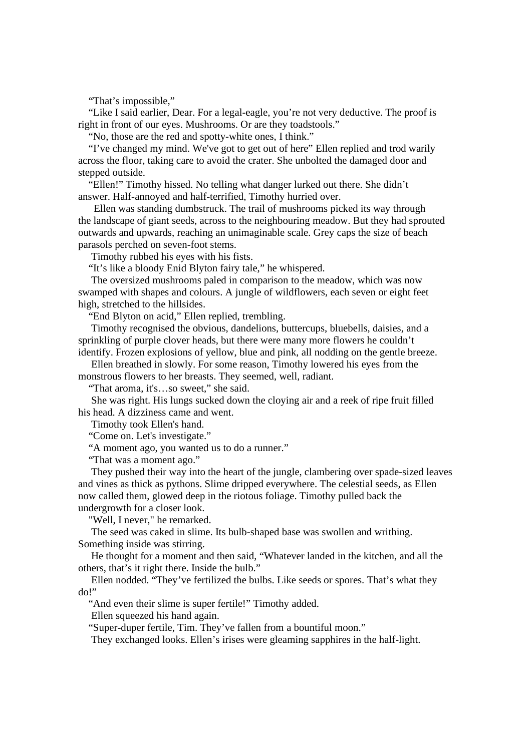"That's impossible,"

 "Like I said earlier, Dear. For a legal-eagle, you're not very deductive. The proof is right in front of our eyes. Mushrooms. Or are they toadstools."

"No, those are the red and spotty-white ones, I think."

 "I've changed my mind. We've got to get out of here" Ellen replied and trod warily across the floor, taking care to avoid the crater. She unbolted the damaged door and stepped outside.

 "Ellen!" Timothy hissed. No telling what danger lurked out there. She didn't answer. Half-annoyed and half-terrified, Timothy hurried over.

 Ellen was standing dumbstruck. The trail of mushrooms picked its way through the landscape of giant seeds, across to the neighbouring meadow. But they had sprouted outwards and upwards, reaching an unimaginable scale. Grey caps the size of beach parasols perched on seven-foot stems.

Timothy rubbed his eyes with his fists.

"It's like a bloody Enid Blyton fairy tale," he whispered.

 The oversized mushrooms paled in comparison to the meadow, which was now swamped with shapes and colours. A jungle of wildflowers, each seven or eight feet high, stretched to the hillsides.

"End Blyton on acid," Ellen replied, trembling.

 Timothy recognised the obvious, dandelions, buttercups, bluebells, daisies, and a sprinkling of purple clover heads, but there were many more flowers he couldn't identify. Frozen explosions of yellow, blue and pink, all nodding on the gentle breeze.

Ellen breathed in slowly. For some reason, Timothy lowered his eyes from the

monstrous flowers to her breasts. They seemed, well, radiant.

"That aroma, it's…so sweet," she said.

 She was right. His lungs sucked down the cloying air and a reek of ripe fruit filled his head. A dizziness came and went.

Timothy took Ellen's hand.

"Come on. Let's investigate."

"A moment ago, you wanted us to do a runner."

"That was a moment ago."

 They pushed their way into the heart of the jungle, clambering over spade-sized leaves and vines as thick as pythons. Slime dripped everywhere. The celestial seeds, as Ellen now called them, glowed deep in the riotous foliage. Timothy pulled back the undergrowth for a closer look.

"Well, I never," he remarked.

 The seed was caked in slime. Its bulb-shaped base was swollen and writhing. Something inside was stirring.

 He thought for a moment and then said, "Whatever landed in the kitchen, and all the others, that's it right there. Inside the bulb."

 Ellen nodded. "They've fertilized the bulbs. Like seeds or spores. That's what they do!"

"And even their slime is super fertile!" Timothy added.

Ellen squeezed his hand again.

"Super-duper fertile, Tim. They've fallen from a bountiful moon."

They exchanged looks. Ellen's irises were gleaming sapphires in the half-light.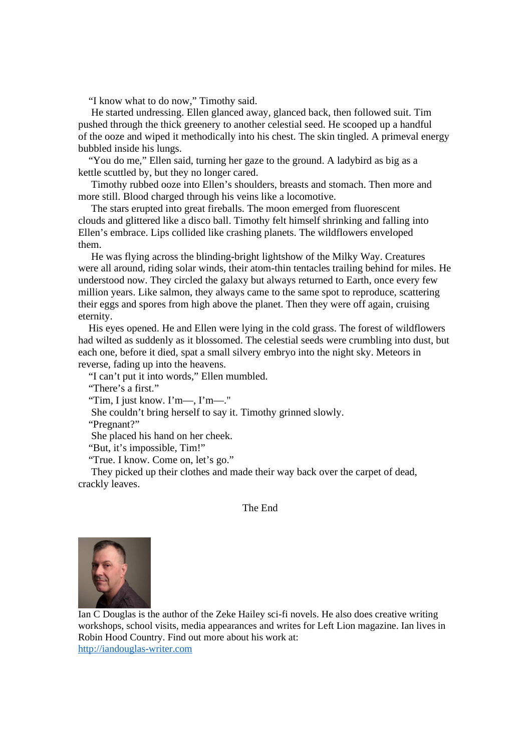"I know what to do now," Timothy said.

 He started undressing. Ellen glanced away, glanced back, then followed suit. Tim pushed through the thick greenery to another celestial seed. He scooped up a handful of the ooze and wiped it methodically into his chest. The skin tingled. A primeval energy bubbled inside his lungs.

 "You do me," Ellen said, turning her gaze to the ground. A ladybird as big as a kettle scuttled by, but they no longer cared.

 Timothy rubbed ooze into Ellen's shoulders, breasts and stomach. Then more and more still. Blood charged through his veins like a locomotive.

 The stars erupted into great fireballs. The moon emerged from fluorescent clouds and glittered like a disco ball. Timothy felt himself shrinking and falling into Ellen's embrace. Lips collided like crashing planets. The wildflowers enveloped them.

 He was flying across the blinding-bright lightshow of the Milky Way. Creatures were all around, riding solar winds, their atom-thin tentacles trailing behind for miles. He understood now. They circled the galaxy but always returned to Earth, once every few million years. Like salmon, they always came to the same spot to reproduce, scattering their eggs and spores from high above the planet. Then they were off again, cruising eternity.

 His eyes opened. He and Ellen were lying in the cold grass. The forest of wildflowers had wilted as suddenly as it blossomed. The celestial seeds were crumbling into dust, but each one, before it died, spat a small silvery embryo into the night sky. Meteors in reverse, fading up into the heavens.

"I can't put it into words," Ellen mumbled.

"There's a first."

"Tim, I just know. I'm—, I'm—."

She couldn't bring herself to say it. Timothy grinned slowly.

"Pregnant?"

She placed his hand on her cheek.

"But, it's impossible, Tim!"

"True. I know. Come on, let's go."

 They picked up their clothes and made their way back over the carpet of dead, crackly leaves.

## The End



Ian C Douglas is the author of the Zeke Hailey sci-fi novels. He also does creative writing workshops, school visits, media appearances and writes for Left Lion magazine. Ian lives in Robin Hood Country. Find out more about his work at: http://iandouglas-writer.com